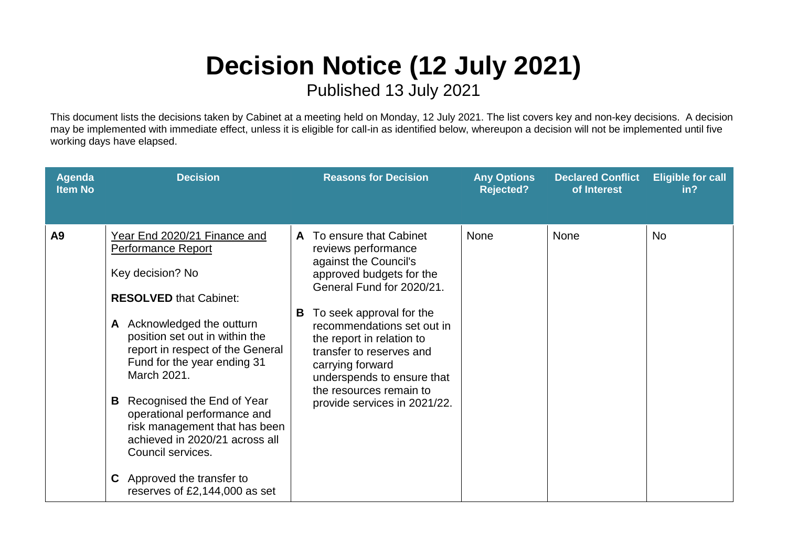## **Decision Notice (12 July 2021)**

Published 13 July 2021

This document lists the decisions taken by Cabinet at a meeting held on Monday, 12 July 2021. The list covers key and non-key decisions. A decision may be implemented with immediate effect, unless it is eligible for call-in as identified below, whereupon a decision will not be implemented until five working days have elapsed.

| <b>Agenda</b><br><b>Item No</b> | <b>Decision</b>                                                                                                                                                                                                                                                                                                                                                                                                                                                                                  | <b>Reasons for Decision</b>                                                                                                                                                                                                                                                                                                                                               | <b>Any Options</b><br><b>Rejected?</b> | <b>Declared Conflict</b><br>of Interest | <b>Eligible for call</b><br>in <sub>2</sub> |
|---------------------------------|--------------------------------------------------------------------------------------------------------------------------------------------------------------------------------------------------------------------------------------------------------------------------------------------------------------------------------------------------------------------------------------------------------------------------------------------------------------------------------------------------|---------------------------------------------------------------------------------------------------------------------------------------------------------------------------------------------------------------------------------------------------------------------------------------------------------------------------------------------------------------------------|----------------------------------------|-----------------------------------------|---------------------------------------------|
| A <sub>9</sub>                  | Year End 2020/21 Finance and<br><b>Performance Report</b><br>Key decision? No<br><b>RESOLVED that Cabinet:</b><br>A Acknowledged the outturn<br>position set out in within the<br>report in respect of the General<br>Fund for the year ending 31<br>March 2021.<br>Recognised the End of Year<br>В<br>operational performance and<br>risk management that has been<br>achieved in 2020/21 across all<br>Council services.<br><b>C</b> Approved the transfer to<br>reserves of £2,144,000 as set | To ensure that Cabinet<br>A<br>reviews performance<br>against the Council's<br>approved budgets for the<br>General Fund for 2020/21.<br>To seek approval for the<br>B<br>recommendations set out in<br>the report in relation to<br>transfer to reserves and<br>carrying forward<br>underspends to ensure that<br>the resources remain to<br>provide services in 2021/22. | <b>None</b>                            | <b>None</b>                             | <b>No</b>                                   |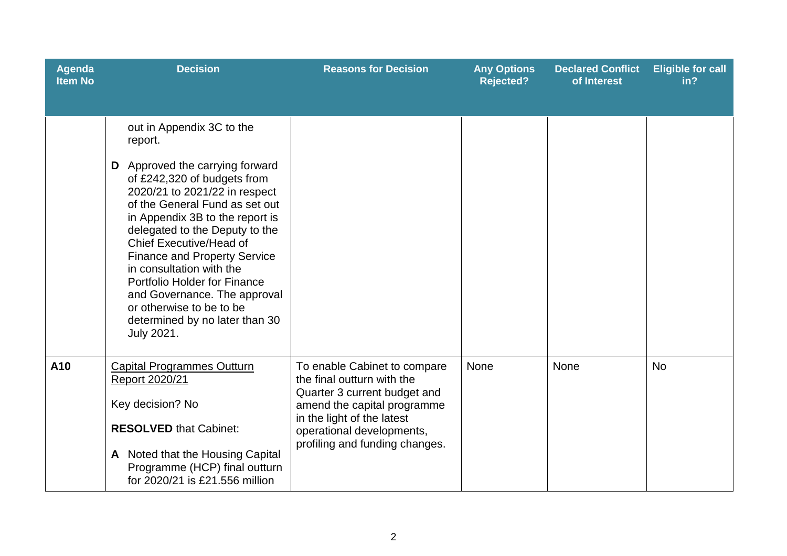| Agenda<br><b>Item No</b> | <b>Decision</b>                                                                                                                                                                                                                                                                                                                                                                                                                                                                                    | <b>Reasons for Decision</b>                                                                                                                                                                                            | <b>Any Options</b><br><b>Rejected?</b> | <b>Declared Conflict</b><br>of Interest | <b>Eligible for call</b><br>in? |
|--------------------------|----------------------------------------------------------------------------------------------------------------------------------------------------------------------------------------------------------------------------------------------------------------------------------------------------------------------------------------------------------------------------------------------------------------------------------------------------------------------------------------------------|------------------------------------------------------------------------------------------------------------------------------------------------------------------------------------------------------------------------|----------------------------------------|-----------------------------------------|---------------------------------|
|                          | out in Appendix 3C to the<br>report.<br>Approved the carrying forward<br>D<br>of £242,320 of budgets from<br>2020/21 to 2021/22 in respect<br>of the General Fund as set out<br>in Appendix 3B to the report is<br>delegated to the Deputy to the<br><b>Chief Executive/Head of</b><br><b>Finance and Property Service</b><br>in consultation with the<br>Portfolio Holder for Finance<br>and Governance. The approval<br>or otherwise to be to be<br>determined by no later than 30<br>July 2021. |                                                                                                                                                                                                                        |                                        |                                         |                                 |
| A10                      | <b>Capital Programmes Outturn</b><br>Report 2020/21<br>Key decision? No<br><b>RESOLVED that Cabinet:</b><br>A Noted that the Housing Capital<br>Programme (HCP) final outturn<br>for 2020/21 is £21.556 million                                                                                                                                                                                                                                                                                    | To enable Cabinet to compare<br>the final outturn with the<br>Quarter 3 current budget and<br>amend the capital programme<br>in the light of the latest<br>operational developments,<br>profiling and funding changes. | None                                   | None                                    | <b>No</b>                       |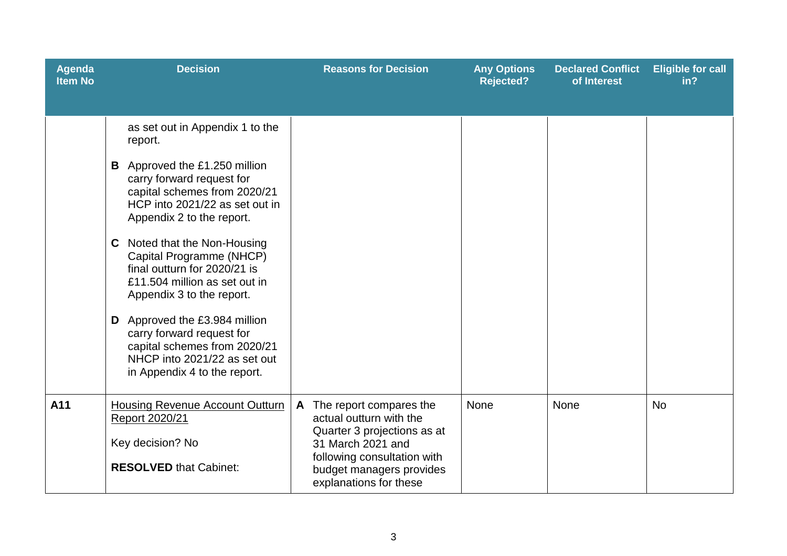| Agenda<br><b>Item No</b> | <b>Decision</b>                                                                                                                                                                                                                                                                                                                                                                                                                                                                                                                       | <b>Reasons for Decision</b>                                                                                                                                                                      | <b>Any Options</b><br><b>Rejected?</b> | <b>Declared Conflict</b><br>of Interest | <b>Eligible for call</b><br>in? |
|--------------------------|---------------------------------------------------------------------------------------------------------------------------------------------------------------------------------------------------------------------------------------------------------------------------------------------------------------------------------------------------------------------------------------------------------------------------------------------------------------------------------------------------------------------------------------|--------------------------------------------------------------------------------------------------------------------------------------------------------------------------------------------------|----------------------------------------|-----------------------------------------|---------------------------------|
|                          | as set out in Appendix 1 to the<br>report.<br>Approved the £1.250 million<br>B<br>carry forward request for<br>capital schemes from 2020/21<br>HCP into 2021/22 as set out in<br>Appendix 2 to the report.<br>Noted that the Non-Housing<br>C<br>Capital Programme (NHCP)<br>final outturn for 2020/21 is<br>£11.504 million as set out in<br>Appendix 3 to the report.<br>D Approved the £3.984 million<br>carry forward request for<br>capital schemes from 2020/21<br>NHCP into 2021/22 as set out<br>in Appendix 4 to the report. |                                                                                                                                                                                                  |                                        |                                         |                                 |
| A11                      | <b>Housing Revenue Account Outturn</b><br>Report 2020/21<br>Key decision? No<br><b>RESOLVED that Cabinet:</b>                                                                                                                                                                                                                                                                                                                                                                                                                         | The report compares the<br>A<br>actual outturn with the<br>Quarter 3 projections as at<br>31 March 2021 and<br>following consultation with<br>budget managers provides<br>explanations for these | None                                   | None                                    | <b>No</b>                       |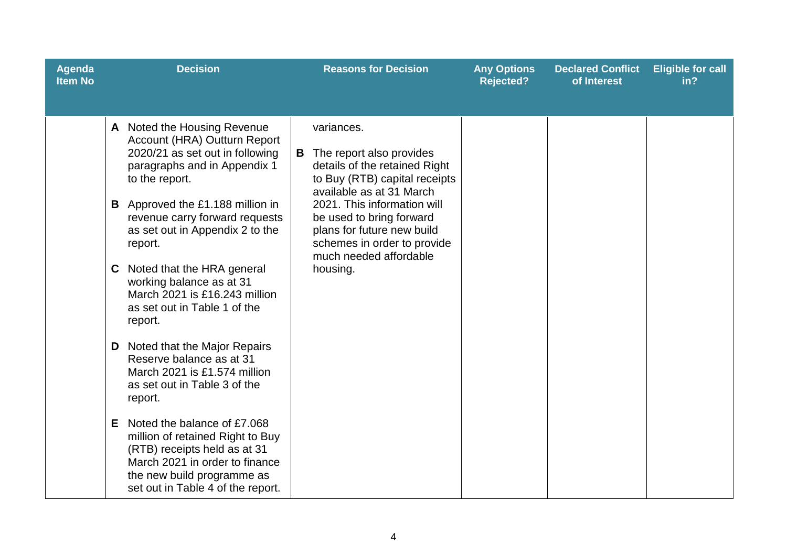| <b>Agenda</b><br><b>Item No</b> | <b>Decision</b>                                                                                                                                                                                                                                                                                                                                                                                                                                                                                                                                                                                                                                                                                                                              | <b>Reasons for Decision</b>                                                                                                                                                                                                                                                                        | <b>Any Options</b><br><b>Rejected?</b> | <b>Declared Conflict</b><br>of Interest | <b>Eligible for call</b><br>in? |
|---------------------------------|----------------------------------------------------------------------------------------------------------------------------------------------------------------------------------------------------------------------------------------------------------------------------------------------------------------------------------------------------------------------------------------------------------------------------------------------------------------------------------------------------------------------------------------------------------------------------------------------------------------------------------------------------------------------------------------------------------------------------------------------|----------------------------------------------------------------------------------------------------------------------------------------------------------------------------------------------------------------------------------------------------------------------------------------------------|----------------------------------------|-----------------------------------------|---------------------------------|
|                                 | A Noted the Housing Revenue<br>Account (HRA) Outturn Report<br>2020/21 as set out in following<br>paragraphs and in Appendix 1<br>to the report.<br><b>B</b> Approved the £1.188 million in<br>revenue carry forward requests<br>as set out in Appendix 2 to the<br>report.<br>Noted that the HRA general<br>C.<br>working balance as at 31<br>March 2021 is £16.243 million<br>as set out in Table 1 of the<br>report.<br>Noted that the Major Repairs<br>D<br>Reserve balance as at 31<br>March 2021 is £1,574 million<br>as set out in Table 3 of the<br>report.<br>Noted the balance of £7.068<br>Е.<br>million of retained Right to Buy<br>(RTB) receipts held as at 31<br>March 2021 in order to finance<br>the new build programme as | variances.<br>The report also provides<br>details of the retained Right<br>to Buy (RTB) capital receipts<br>available as at 31 March<br>2021. This information will<br>be used to bring forward<br>plans for future new build<br>schemes in order to provide<br>much needed affordable<br>housing. |                                        |                                         |                                 |
|                                 | set out in Table 4 of the report.                                                                                                                                                                                                                                                                                                                                                                                                                                                                                                                                                                                                                                                                                                            |                                                                                                                                                                                                                                                                                                    |                                        |                                         |                                 |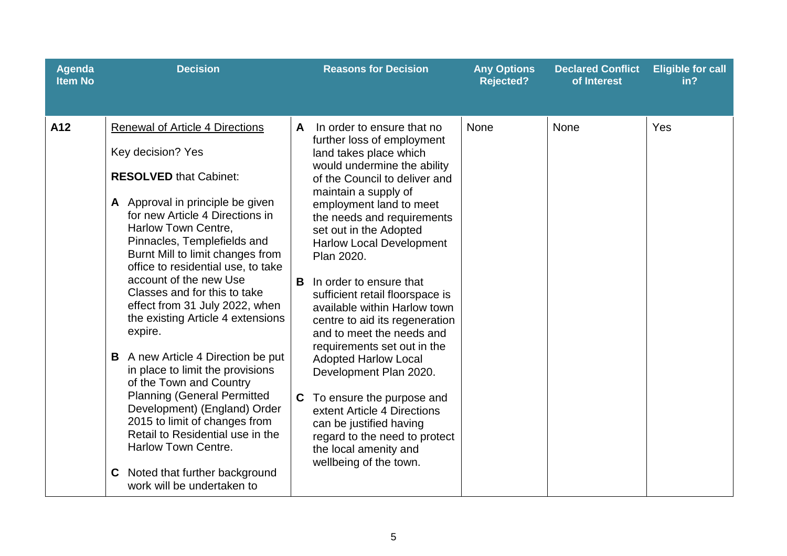| <b>Agenda</b><br><b>Item No</b> | <b>Decision</b>                                                                                                                                                                                                                                                                                                                                                                                                                                                                                                                                                                                                                                                                                                                                                                                       | <b>Reasons for Decision</b>                                                                                                                                                                                                                                                                                                                                                                                                                                                                                                                                                                                                                                                                                                                                    | <b>Any Options</b><br><b>Rejected?</b> | <b>Declared Conflict</b><br>of Interest | <b>Eligible for call</b><br>in? |
|---------------------------------|-------------------------------------------------------------------------------------------------------------------------------------------------------------------------------------------------------------------------------------------------------------------------------------------------------------------------------------------------------------------------------------------------------------------------------------------------------------------------------------------------------------------------------------------------------------------------------------------------------------------------------------------------------------------------------------------------------------------------------------------------------------------------------------------------------|----------------------------------------------------------------------------------------------------------------------------------------------------------------------------------------------------------------------------------------------------------------------------------------------------------------------------------------------------------------------------------------------------------------------------------------------------------------------------------------------------------------------------------------------------------------------------------------------------------------------------------------------------------------------------------------------------------------------------------------------------------------|----------------------------------------|-----------------------------------------|---------------------------------|
| A12                             | <b>Renewal of Article 4 Directions</b><br>Key decision? Yes<br><b>RESOLVED that Cabinet:</b><br>A Approval in principle be given<br>for new Article 4 Directions in<br>Harlow Town Centre,<br>Pinnacles, Templefields and<br>Burnt Mill to limit changes from<br>office to residential use, to take<br>account of the new Use<br>Classes and for this to take<br>effect from 31 July 2022, when<br>the existing Article 4 extensions<br>expire.<br>A new Article 4 Direction be put<br>B<br>in place to limit the provisions<br>of the Town and Country<br><b>Planning (General Permitted</b><br>Development) (England) Order<br>2015 to limit of changes from<br>Retail to Residential use in the<br><b>Harlow Town Centre.</b><br>Noted that further background<br>C.<br>work will be undertaken to | In order to ensure that no<br>A<br>further loss of employment<br>land takes place which<br>would undermine the ability<br>of the Council to deliver and<br>maintain a supply of<br>employment land to meet<br>the needs and requirements<br>set out in the Adopted<br><b>Harlow Local Development</b><br>Plan 2020.<br>B<br>In order to ensure that<br>sufficient retail floorspace is<br>available within Harlow town<br>centre to aid its regeneration<br>and to meet the needs and<br>requirements set out in the<br><b>Adopted Harlow Local</b><br>Development Plan 2020.<br>To ensure the purpose and<br>C.<br>extent Article 4 Directions<br>can be justified having<br>regard to the need to protect<br>the local amenity and<br>wellbeing of the town. | <b>None</b>                            | None                                    | Yes                             |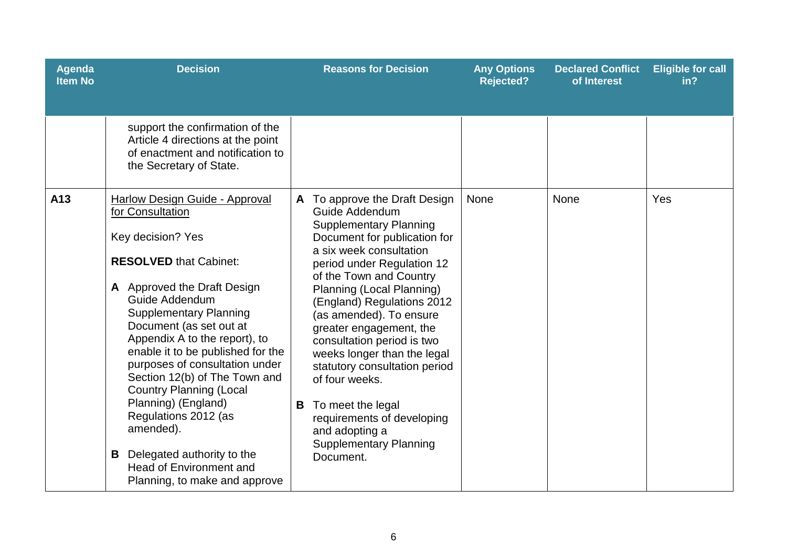| <b>Agenda</b><br><b>Item No</b> | <b>Decision</b>                                                                                                                                                                                                                                                                                                                                                                                                                                                                                                                                                    |   | <b>Reasons for Decision</b>                                                                                                                                                                                                                                                                                                                                                                                                                                                                                                                            | <b>Any Options</b><br><b>Rejected?</b> | <b>Declared Conflict</b><br>of Interest | <b>Eligible for call</b><br>in? |
|---------------------------------|--------------------------------------------------------------------------------------------------------------------------------------------------------------------------------------------------------------------------------------------------------------------------------------------------------------------------------------------------------------------------------------------------------------------------------------------------------------------------------------------------------------------------------------------------------------------|---|--------------------------------------------------------------------------------------------------------------------------------------------------------------------------------------------------------------------------------------------------------------------------------------------------------------------------------------------------------------------------------------------------------------------------------------------------------------------------------------------------------------------------------------------------------|----------------------------------------|-----------------------------------------|---------------------------------|
|                                 | support the confirmation of the<br>Article 4 directions at the point<br>of enactment and notification to<br>the Secretary of State.                                                                                                                                                                                                                                                                                                                                                                                                                                |   |                                                                                                                                                                                                                                                                                                                                                                                                                                                                                                                                                        |                                        |                                         |                                 |
| A13                             | Harlow Design Guide - Approval<br>for Consultation<br>Key decision? Yes<br><b>RESOLVED that Cabinet:</b><br>A Approved the Draft Design<br>Guide Addendum<br><b>Supplementary Planning</b><br>Document (as set out at<br>Appendix A to the report), to<br>enable it to be published for the<br>purposes of consultation under<br>Section 12(b) of The Town and<br><b>Country Planning (Local</b><br>Planning) (England)<br>Regulations 2012 (as<br>amended).<br>Delegated authority to the<br>B<br><b>Head of Environment and</b><br>Planning, to make and approve | B | To approve the Draft Design<br>Guide Addendum<br><b>Supplementary Planning</b><br>Document for publication for<br>a six week consultation<br>period under Regulation 12<br>of the Town and Country<br>Planning (Local Planning)<br>(England) Regulations 2012<br>(as amended). To ensure<br>greater engagement, the<br>consultation period is two<br>weeks longer than the legal<br>statutory consultation period<br>of four weeks.<br>To meet the legal<br>requirements of developing<br>and adopting a<br><b>Supplementary Planning</b><br>Document. | <b>None</b>                            | None                                    | Yes                             |